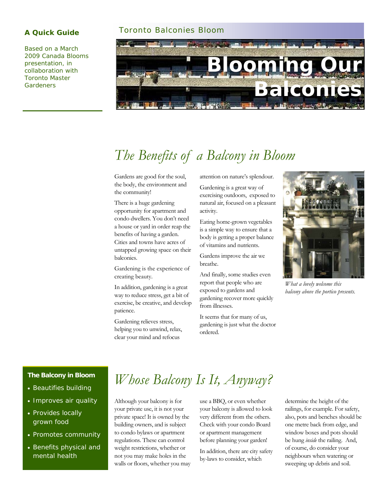Based on a March 2009 Canada Blooms presentation, in collaboration with Toronto Master **Gardeners** 

#### **A Quick Guide** Toronto Balconies Bloom



## *The Benefits of a Balcony in Bloom*

Gardens are good for the soul, the body, the environment and the community!

There is a huge gardening opportunity for apartment and condo dwellers. You don't need a house or yard in order reap the benefits of having a garden. Cities and towns have acres of untapped growing space on their balconies.

Gardening is the experience of creating beauty.

In addition, gardening is a great way to reduce stress, get a bit of exercise, be creative, and develop patience.

Gardening relieves stress, helping you to unwind, relax, clear your mind and refocus

attention on nature's splendour.

Gardening is a great way of exercising outdoors, exposed to natural air, focused on a pleasant activity.

Eating home-grown vegetables is a simple way to ensure that a body is getting a proper balance of vitamins and nutrients.

Gardens improve the air we breathe.

And finally, some studies even report that people who are exposed to gardens and gardening recover more quickly from illnesses.

It seems that for many of us, gardening is just what the doctor ordered.



*What a lovely welcome this balcony above the portico presents.* 

#### **The Balcony in Bloom**

- Beautifies building
- Improves air quality
- Provides locally grown food
- Promotes community
- Benefits physical and mental health

### *Whose Balcony Is It, Anyway?*

Although your balcony is for your private use, it is not your private space! It is owned by the building owners, and is subject to condo bylaws or apartment regulations. These can control weight restrictions, whether or not you may make holes in the walls or floors, whether you may use a BBQ, or even whether your balcony is allowed to look very different from the others. Check with your condo Board or apartment management before planning your garden!

In addition, there are city safety by-laws to consider, which

determine the height of the railings, for example. For safety, also, pots and benches should be one metre back from edge, and window boxes and pots should be hung *inside* the railing. And, of course, do consider your neighbours when watering or sweeping up debris and soil.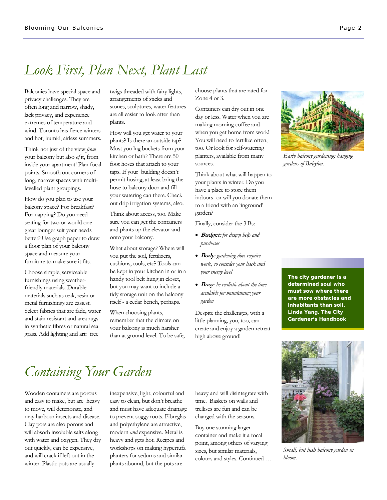#### *Look First, Plan Next, Plant Last*

Balconies have special space and privacy challenges. They are often long and narrow, shady, lack privacy, and experience extremes of temperature and wind. Toronto has fierce winters and hot, humid, airless summers.

Think not just of the view *from*  your balcony but also *of* it, from inside your apartment! Plan focal points. Smooth out corners of long, narrow spaces with multilevelled plant groupings.

How do you plan to use your balcony space? For breakfast? For napping? Do you need seating for two or would one great lounger suit your needs better? Use graph paper to draw a floor plan of your balcony space and measure your furniture to make sure it fits.

Choose simple, serviceable furnishings using weatherfriendly materials. Durable materials such as teak, resin or metal furnishings are easiest. Select fabrics that are fade, water and stain resistant and area rugs in synthetic fibres or natural sea grass. Add lighting and art: tree

twigs threaded with fairy lights, arrangements of sticks and stones, sculptures, water features are all easier to look after than plants.

How will you get water to your plants? Is there an outside tap? Must you lug buckets from your kitchen or bath? There are 50 foot hoses that attach to your taps. If your building doesn't permit hosing, at least bring the hose to balcony door and fill your watering can there. Check out drip irrigation systems, also.

Think about access, too. Make sure you can get the containers and plants up the elevator and onto your balcony.

What about storage? Where will you put the soil, fertilizers, cushions, tools, etc? Tools can be kept in your kitchen in or in a handy tool belt hung in closet, but you may want to include a tidy storage unit on the balcony itself - a cedar bench, perhaps.

When choosing plants, remember that the climate on your balcony is much harsher than at ground level. To be safe, choose plants that are rated for Zone 4 or 3.

Containers can dry out in one day or less. Water when you are making morning coffee and when you get home from work! You will need to fertilize often, too. Or look for self-watering planters, available from many sources.

Think about what will happen to your plants in winter. Do you have a place to store them indoors -or will you donate them to a friend with an 'inground' garden?

Finally, consider the 3 Bs:

- **Budget:** *for design help and purchases*
- **Body***: gardening does require work, so consider your back and your energy level*
- **Busy***: be realistic about the time available for maintaining your garden*

Despite the challenges, with a little planning, you, too, can create and enjoy a garden retreat high above ground!



*Early balcony gardening: hanging gardens of Babylon.* 

*The city gardener is a determined soul who must sow where there are more obstacles and inhabitants than soil.*  **Linda Yang, The City Gardener's Handbook** 



*Small, but lush balcony garden in bloom.* 

### *Containing Your Garden*

Wooden containers are porous and easy to make, but are heavy to move, will deteriorate, and may harbour insects and disease. Clay pots are also porous and will absorb insoluble salts along with water and oxygen. They dry out quickly, can be expensive, and will crack if left out in the winter. Plastic pots are usually

inexpensive, light, colourful and easy to clean, but don't breathe and must have adequate drainage to prevent soggy roots. Fibreglas and polyethylene are attractive, modern *and* expensive. Metal is heavy and gets hot. Recipes and workshops on making hypertufa planters for sedums and similar plants abound, but the pots are

heavy and will disintegrate with time. Baskets on walls and trellises are fun and can be changed with the seasons.

Buy one stunning larger container and make it a focal point, among others of varying sizes, but similar materials, colours and styles. Continued …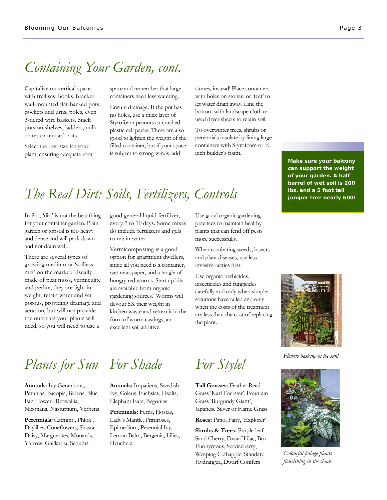### *Containing Your Garden, cont.*

Capitalize on vertical space with trellises, hooks, bracket, wall-mounted flat-backed pots, pockets and urns, poles, even 3-tiered wire baskets. Stack pots on shelves, ladders, milk crates or unused pots.

Select the best size for your plant, ensuring adequate root space and remember that large containers need less watering.

Ensure drainage. If the pot has no holes, use a thick layer of Styrofoam peanuts or crushed plastic cell packs. These are also good to lighten the weight of the filled container, but if your space is subject to strong winds, add

stones, instead! Place containers with holes on stones, or 'feet' to let water drain away. Line the bottom with landscape cloth or used dryer sheets to retain soil.

To overwinter trees, shrubs or perennials insulate by lining large containers with Styrofoam or  $\frac{3}{4}$ inch builder's foam.

## *The Real Dirt: Soils, Fertilizers, Controls*

In fact, 'dirt' is not the best thing for your container garden. Plain garden or topsoil is too heavy and dense and will pack down and not drain well.

There are several types of growing medium or 'soilless mix' on the market. Usually made of peat moss, vermiculite and perlite, they are light in weight, retain water and yet porous, providing drainage and aeration, but will not provide the nutrients your plants will need, so you will need to use a

good general liquid fertilizer, every 7 to 10 days. Some mixes do include fertilizers and gels to retain water.

Vermicomposting is a good option for apartment dwellers, since all you need is a container, wet newspaper, and a tangle of hungry red worms. Start up kits are available from organic gardening sources. Worms will devour 5X their weight in kitchen waste and return it in the form of worm castings, an excellent soil additive.

Use good organic gardening practices to maintain healthy plants that can fend off pests more successfully.

When combating weeds, insects and plant diseases, use less invasive tactics first.

Use organic herbicides, insecticides and fungicides carefully and only when simpler solutions have failed and only when the costs of the treatment are less than the cost of replacing the plant.

**Make sure your balcony can support the weight of your garden. A half barrel of wet soil is 200 lbs. and a 5 foot tall juniper tree nearly 600!** 



*Flowers basking in the sun!* 



*Colourful foliage plants flourishing in the shade* 

# *Plants for Sun For Shade For Style!*

**Annuals:** Ivy Geraniums, Petunias, Bacopia, Bidens, Blue Fan Flower , Browallia, Nicotiana, Nasturtium, Verbena

Perennials: Catmint, Phlox, Daylilies, Coneflowers, Shasta Daisy, Marguerites, Monarda, Yarrow, Gaillardia, Sedums

**Annuals:** Impatiens, Swedish Ivy, Coleus, Fuchsias, Oxalis, Elephant Ears, Begonias

Perennials: Ferns, Hostas, Lady's Mantle, Primroses, Epimedium, Perennial Ivy, Lemon Balm, Bergenia, Lilies, Heuchera

**Tall Grasses:** Feather Reed Grass 'Karl Foerster', Fountain Grass 'Burgundy Giant', Japanese Silver or Flame Grass

**Roses:** Patio, Fairy, 'Explorer'

**Shrubs & Trees:** Purple-leaf Sand Cherry, Dwarf Lilac, Box Euonymous, Serviceberry, Weeping Crabapple, Standard Hydrangea, Dwarf Conifers